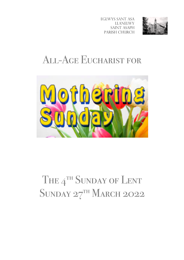Eglwys Sant Asa Llanelwy SAINT ASAPH Parish Church



# All-Age Eucharist for



# THE 4TH SUNDAY OF LENT SUNDAY 27TH MARCH 2022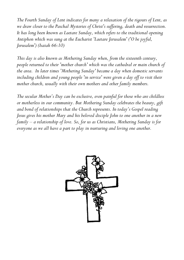*The Fourth Sunday of Lent indicates for many a relaxation of the rigours of Lent, as we draw closer to the Paschal Mysteries of Christ's suffering, death and resurrection. It has long been known as Laetare Sunday, which refers to the traditional opening Antiphon which was sung at the Eucharist 'Laetare Jerusalem' ('O be joyful, Jerusalem') (Isaiah 66:10)*

*This day is also known as Mothering Sunday when, from the sixteenth century, people returned to their 'mother church' which was the cathedral or main church of the area. In later times 'Mothering Sunday' became a day when domestic servants*  including children and young people 'in service' were given a day off to visit their *mother church, usually with their own mothers and other family members.* 

*The secular Mother's Day can be exclusive, even painful for those who are childless or motherless in our community. But Mothering Sunday celebrates the beauty, gift and bond of relationships that the Church represents. In today's Gospel reading Jesus gives his mother Mary and his beloved disciple John to one another in a new family – a relationship of love. So, for us as Christians, Mothering Sunday is for everyone as we all have a part to play in nurturing and loving one another.*

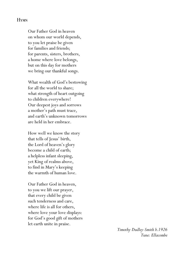### **Hymn**

Our Father God in heaven on whom our world depends, to you let praise be given for families and friends; for parents, sisters, brothers, a home where love belongs, but on this day for mothers we bring our thankful songs.

What wealth of God's bestowing for all the world to share; what strength of heart outgoing to children everywhere! Our deepest joys and sorrows a mother's path must trace, and earth's unknown tomorrows are held in her embrace.

How well we know the story that tells of Jesus' birth, the Lord of heaven's glory become a child of earth; a helpless infant sleeping, yet King of realms above, to find in Mary's keeping the warmth of human love.

Our Father God in heaven, to you we lift our prayer, that every child be given such tenderness and care, where life is all for others, where love your love displays: for God's good gift of mothers let earth unite in praise.

> *Timothy Dudley-Smith b.1926 Tune: Ellacombe*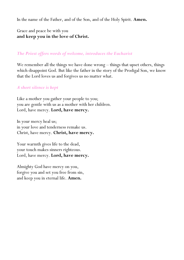In the name of the Father, and of the Son, and of the Holy Spirit. **Amen.**

Grace and peace be with you **and keep you in the love of Christ.**

#### *The Priest offers words of welcome, introduces the Eucharist*

We remember all the things we have done wrong – things that upset others, things which disappoint God. But like the father in the story of the Prodigal Son, we know that the Lord loves us and forgives us no matter what.

#### *A short silence is kept*

Like a mother you gather your people to you; you are gentle with us as a mother with her children. Lord, have mercy. **Lord, have mercy.**

In your mercy heal us; in your love and tenderness remake us. Christ, have mercy. **Christ, have mercy.** 

Your warmth gives life to the dead, your touch makes sinners righteous. Lord, have mercy. **Lord, have mercy.**

Almighty God have mercy on you, forgive you and set you free from sin, and keep you in eternal life. **Amen.**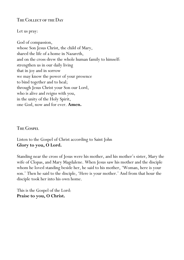# THE COLLECT OF THE DAY

Let us pray:

God of compassion, whose Son Jesus Christ, the child of Mary, shared the life of a home in Nazareth, and on the cross drew the whole human family to himself: strengthen us in our daily living that in joy and in sorrow we may know the power of your presence to bind together and to heal; through Jesus Christ your Son our Lord, who is alive and reigns with you, in the unity of the Holy Spirit, one God, now and for ever. **Amen.**

The Gospel

Listen to the Gospel of Christ according to Saint John **Glory to you, O Lord.**

Standing near the cross of Jesus were his mother, and his mother's sister, Mary the wife of Clopas, and Mary Magdalene. When Jesus saw his mother and the disciple whom he loved standing beside her, he said to his mother, 'Woman, here is your son.' Then he said to the disciple, 'Here is your mother.' And from that hour the disciple took her into his own home.

This is the Gospel of the Lord: **Praise to you, O Christ.**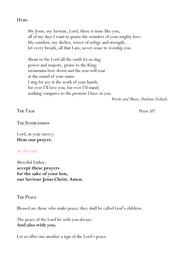**Hymn** 

My Jesus, my Saviour, Lord, there is none like you; all of my days I want to praise the wonders of your mighty love. My comfort, my shelter, tower of refuge and strength, let every breath, all that I am, never cease to worship you.

Shout to the Lord all the earth let us sing power and majesty, praise to the King: mountains bow down and the seas will roar at the sound of your name. I sing for joy at the work of your hands, for ever I'll love you, for ever I'll stand; nothing compares to the promise I have in you.

*Words and Music: Darlene Zschech*

# The Talk *Please SIT*

The Intercession

Lord, in your mercy: **Hear our prayer.** 

#### *At the end*

Merciful Father, **accept these prayers for the sake of your Son, our Saviour Jesus Christ. Amen.**

The Peace

Blessed are those who make peace; they shall be called God's children.

The peace of the Lord be with you always. **And also with you.**

Let us offer one another a sign of the Lord's peace.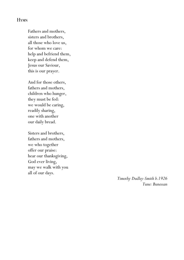# **H**YMN

Fathers and mothers, sisters and brothers, all those who love us, for whom we care: help and befriend them, keep and defend them, Jesus our Saviour, this is our prayer.

And for those others, fathers and mothers, children who hunger, they must be fed: we would be caring, readily sharing, one with another our daily bread.

Sisters and brothers, fathers and mothers, we who together offer our praise: hear our thanksgiving, God ever living, may we walk with you all of our days.

> *Timothy Dudley-Smith b.1926 Tune: Bunessan*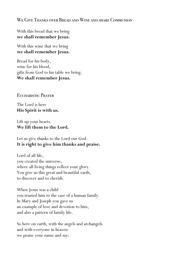# We Give Thanks over Bread and Wine and share Communion

# With this bread that we bring **we shall remember Jesus.**

With this wine that we bring **we shall remember Jesus.**

Bread for his body, wine for his blood, gifts from God to his table we bring. **We shall remember Jesus.**

Eucharistic Prayer

The Lord is here **His Spirit is with us.**

Lift up your hearts. **We lift them to the Lord.**

Let us give thanks to the Lord our God. **It is right to give him thanks and praise.**

Lord of all life, you created the universe, where all living things reflect your glory. You give us this great and beautiful earth, to discover and to cherish.

When Jesus was a child you trusted him to the care of a human family. In Mary and Joseph you gave us an example of love and devotion to him, and also a pattern of family life.

So here on earth, with the angels and archangels and with everyone in heaven we praise your name and say: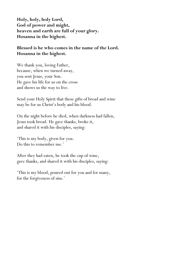**Holy, holy, holy Lord, God of power and might, heaven and earth are full of your glory. Hosanna in the highest.**

# **Blessed is he who comes in the name of the Lord. Hosanna in the highest.**

We thank you, loving Father, because, when we turned away, you sent Jesus, your Son. He gave his life for us on the cross and shows us the way to live.

Send your Holy Spirit that these gifts of bread and wine may be for us Christ's body and his blood.

On the night before he died, when darkness had fallen, Jesus took bread. He gave thanks, broke it, and shared it with his disciples, saying:

'This is my body, given for you. Do this to remember me.'

After they had eaten, he took the cup of wine, gave thanks, and shared it with his disciples, saying:

'This is my blood, poured out for you and for many, for the forgiveness of sins.'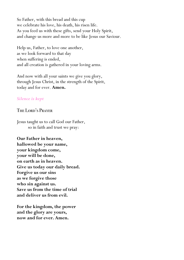So Father, with this bread and this cup we celebrate his love, his death, his risen life. As you feed us with these gifts, send your Holy Spirit, and change us more and more to be like Jesus our Saviour.

Help us, Father, to love one another, as we look forward to that day when suffering is ended, and all creation is gathered in your loving arms.

And now with all your saints we give you glory, through Jesus Christ, in the strength of the Spirit, today and for ever. **Amen.**

#### *Silence is kept*

### The Lord's Prayer

Jesus taught us to call God our Father, so in faith and trust we pray:

**Our Father in heaven, hallowed be your name, your kingdom come, your will be done, on earth as in heaven. Give us today our daily bread. Forgive us our sins as we forgive those who sin against us. Save us from the time of trial and deliver us from evil.**

**For the kingdom, the power and the glory are yours, now and for ever. Amen.**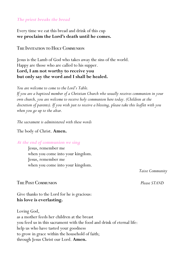#### *The priest breaks the bread*

Every time we eat this bread and drink of this cup **we proclaim the Lord's death until he comes.**

The Invitation to Holy Communion

Jesus is the Lamb of God who takes away the sins of the world. Happy are those who are called to his supper. **Lord, I am not worthy to receive you but only say the word and I shall be healed.**

*You are welcome to come to the Lord's Table. If you are a baptized member of a Christian Church who usually receives communion in your own church, you are welcome to receive holy communion here today. (Children at the discretion of parents). If you wish just to receive a blessing, please take this leaflet with you when you go up to the altar.*

*The sacrament is administered with these words*

The body of Christ. **Amen.**

*At the end of communion we sing*

Jesus, remember me when you come into your kingdom. Jesus, remember me when you come into your kingdom.

The Post Communion *Please STAND*

Give thanks to the Lord for he is gracious: **his love is everlasting.**

Loving God, as a mother feeds her children at the breast you feed us in this sacrament with the food and drink of eternal life: help us who have tasted your goodness to grow in grace within the household of faith; through Jesus Christ our Lord. **Amen.**

*Taize Community*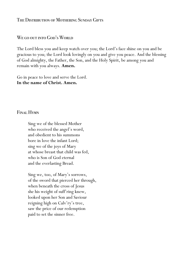The Distribution of Mothering Sunday Gifts

We go out into God's World

The Lord bless you and keep watch over you; the Lord's face shine on you and be gracious to you; the Lord look lovingly on you and give you peace. And the blessing of God almighty, the Father, the Son, and the Holy Spirit, be among you and remain with you always. **Amen.**

Go in peace to love and serve the Lord. **In the name of Christ. Amen.**

Final Hymn

Sing we of the blessed Mother who received the angel's word, and obedient to his summons bore in love the infant Lord; sing we of the joys of Mary at whose breast that child was fed, who is Son of God eternal and the everlasting Bread.

Sing we, too, of Mary's sorrows, of the sword that pierced her through, when beneath the cross of Jesus she his weight of suff'ring knew, looked upon her Son and Saviour reigning high on Calv'ry's tree, saw the price of our redemption paid to set the sinner free.